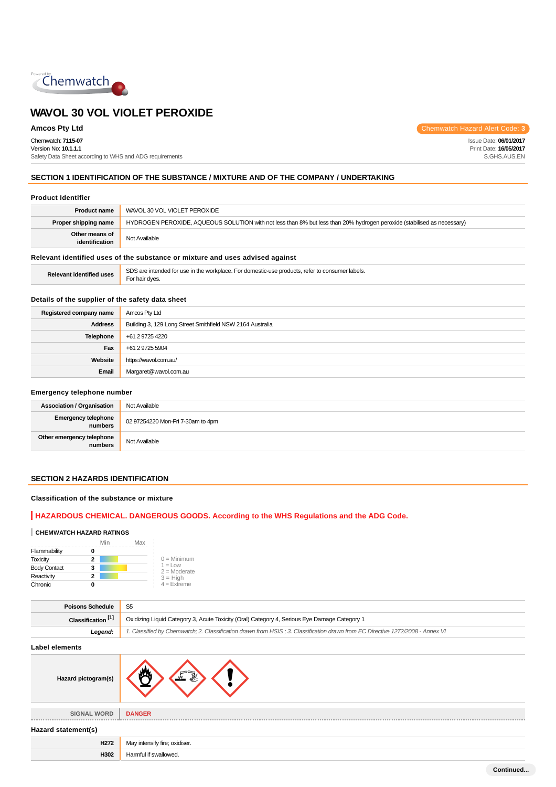

Chemwatch: **7115-07**

Version No: **10.1.1.1** Safety Data Sheet according to WHS and ADG requirements

**Amcos Pty Ltd** Chemwatch Hazard Alert Code: **3** 

Issue Date: **06/01/2017** Print Date: **16/05/2017** S.GHS.AUS.EN

## **SECTION 1 IDENTIFICATION OF THE SUBSTANCE / MIXTURE AND OF THE COMPANY / UNDERTAKING**

#### **Product Identifier**

| <b>Product name</b>                                                           | WAVOL 30 VOL VIOLET PEROXIDE                                                                                            |  |
|-------------------------------------------------------------------------------|-------------------------------------------------------------------------------------------------------------------------|--|
| Proper shipping name                                                          | HYDROGEN PEROXIDE, AQUEOUS SOLUTION with not less than 8% but less than 20% hydrogen peroxide (stabilised as necessary) |  |
| Other means of<br>identification                                              | Not Available                                                                                                           |  |
| Relevant identified uses of the substance or mixture and uses advised against |                                                                                                                         |  |
| <b>Relevant identified uses</b>                                               | SDS are intended for use in the workplace. For domestic-use products, refer to consumer labels.<br>Frank basic above a  |  |

## **Details of the supplier of the safety data sheet**

For hair dyes.

| Registered company name | Amcos Pty Ltd                                             |
|-------------------------|-----------------------------------------------------------|
| <b>Address</b>          | Building 3, 129 Long Street Smithfield NSW 2164 Australia |
| <b>Telephone</b>        | +61 2 9725 4220                                           |
| Fax                     | +61 2 9725 5904                                           |
| Website                 | https://wavol.com.au/                                     |
| Email                   | Margaret@wavol.com.au                                     |

#### **Emergency telephone number**

| <b>Association / Organisation</b>    | Not Available                     |
|--------------------------------------|-----------------------------------|
| Emergency telephone<br>numbers       | 02 97254220 Mon-Fri 7-30am to 4pm |
| Other emergency telephone<br>numbers | Not Available                     |

## **SECTION 2 HAZARDS IDENTIFICATION**

## **Classification of the substance or mixture**

## **HAZARDOUS CHEMICAL. DANGEROUS GOODS. According to the WHS Regulations and the ADG Code.**

#### **CHEMWATCH HAZARD RATINGS**

|                     | Min | Max |                                    |
|---------------------|-----|-----|------------------------------------|
| Flammability        | 0   |     |                                    |
| <b>Toxicity</b>     | 2   |     | $0 =$ Minimum                      |
| <b>Body Contact</b> | 3   |     | $1 = 1$ $\Omega$<br>$2 =$ Moderate |
| Reactivity          | 2   |     | $3 = High$                         |
| Chronic             | o   |     | $4$ = Extreme                      |

| <b>Poisons Schedule</b>       | S <sub>5</sub>                                                                                                                |  |
|-------------------------------|-------------------------------------------------------------------------------------------------------------------------------|--|
| Classification <sup>[1]</sup> | Oxidizing Liquid Category 3, Acute Toxicity (Oral) Category 4, Serious Eye Damage Category 1                                  |  |
| Leaend:                       | 1. Classified by Chemwatch; 2. Classification drawn from HSIS; 3. Classification drawn from EC Directive 1272/2008 - Annex VI |  |
| المفصوص مصرما المسالما        |                                                                                                                               |  |

**Label elements**

| Hazard pictogram(s) |                               |  |
|---------------------|-------------------------------|--|
| <b>SIGNAL WORD</b>  | <b>DANGER</b>                 |  |
| Hazard statement(s) |                               |  |
| H <sub>272</sub>    | May intensify fire; oxidiser. |  |
| H302                | Harmful if swallowed.         |  |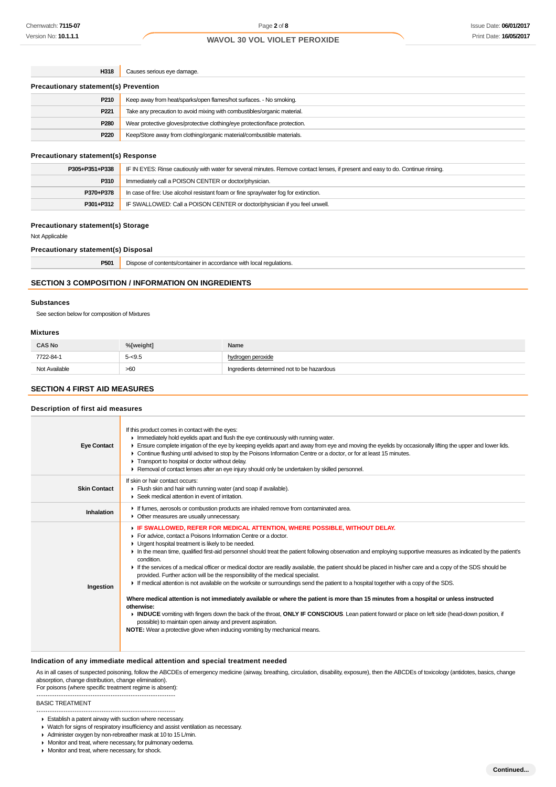| H318                                         | Causes serious eye damage.                                                 |  |
|----------------------------------------------|----------------------------------------------------------------------------|--|
| <b>Precautionary statement(s) Prevention</b> |                                                                            |  |
| P210                                         | Keep away from heat/sparks/open flames/hot surfaces. - No smoking.         |  |
| P <sub>221</sub>                             | Take any precaution to avoid mixing with combustibles/organic material.    |  |
| P <sub>280</sub>                             | Wear protective gloves/protective clothing/eye protection/face protection. |  |
| P220                                         | Keep/Store away from clothing/organic material/combustible materials.      |  |

#### **Precautionary statement(s) Response**

| P305+P351+P338 | IF IN EYES: Rinse cautiously with water for several minutes. Remove contact lenses, if present and easy to do. Continue rinsing. |  |
|----------------|----------------------------------------------------------------------------------------------------------------------------------|--|
| P310           | Immediately call a POISON CENTER or doctor/physician.                                                                            |  |
| P370+P378      | In case of fire: Use alcohol resistant foam or fine spray/water fog for extinction.                                              |  |
| P301+P312      | IF SWALLOWED: Call a POISON CENTER or doctor/physician if you feel unwell.                                                       |  |

#### **Precautionary statement(s) Storage**

Not Applicable

#### **Precautionary statement(s) Disposal**

| P501 | $- \cdot$<br>ations.<br>$\sum_{i=1}^{n}$<br>htents/c<br>. dainc<br>rΔ<br> |
|------|---------------------------------------------------------------------------|
|      |                                                                           |

## **SECTION 3 COMPOSITION / INFORMATION ON INGREDIENTS**

#### **Substances**

See section below for composition of Mixtures

#### **Mixtures**

| <b>CAS No</b> | %[weight] | Name                                       |
|---------------|-----------|--------------------------------------------|
| 7722-84-1     | $5 - 9.5$ | hvdrogen peroxide                          |
| Not Available | >60       | Ingredients determined not to be hazardous |

## **SECTION 4 FIRST AID MEASURES**

#### **Description of first aid measures**

| <b>Eye Contact</b>  | If this product comes in contact with the eyes:<br>In mediately hold eyelids apart and flush the eye continuously with running water.<br>Ensure complete irrigation of the eye by keeping eyelids apart and away from eye and moving the eyelids by occasionally lifting the upper and lower lids.<br>Continue flushing until advised to stop by the Poisons Information Centre or a doctor, or for at least 15 minutes.<br>Transport to hospital or doctor without delay.<br>► Removal of contact lenses after an eye injury should only be undertaken by skilled personnel.                                                                                                                                                                                                                                                                                                                                                                                                                                                                                                                                                                                                                                                       |
|---------------------|-------------------------------------------------------------------------------------------------------------------------------------------------------------------------------------------------------------------------------------------------------------------------------------------------------------------------------------------------------------------------------------------------------------------------------------------------------------------------------------------------------------------------------------------------------------------------------------------------------------------------------------------------------------------------------------------------------------------------------------------------------------------------------------------------------------------------------------------------------------------------------------------------------------------------------------------------------------------------------------------------------------------------------------------------------------------------------------------------------------------------------------------------------------------------------------------------------------------------------------|
| <b>Skin Contact</b> | If skin or hair contact occurs:<br>Flush skin and hair with running water (and soap if available).<br>▶ Seek medical attention in event of irritation.                                                                                                                                                                                                                                                                                                                                                                                                                                                                                                                                                                                                                                                                                                                                                                                                                                                                                                                                                                                                                                                                              |
| Inhalation          | If fumes, aerosols or combustion products are inhaled remove from contaminated area.<br>• Other measures are usually unnecessary.                                                                                                                                                                                                                                                                                                                                                                                                                                                                                                                                                                                                                                                                                                                                                                                                                                                                                                                                                                                                                                                                                                   |
| Ingestion           | F IF SWALLOWED, REFER FOR MEDICAL ATTENTION, WHERE POSSIBLE, WITHOUT DELAY.<br>For advice, contact a Poisons Information Centre or a doctor.<br>• Urgent hospital treatment is likely to be needed.<br>In the mean time, qualified first-aid personnel should treat the patient following observation and employing supportive measures as indicated by the patient's<br>condition.<br>If the services of a medical officer or medical doctor are readily available, the patient should be placed in his/her care and a copy of the SDS should be<br>provided. Further action will be the responsibility of the medical specialist.<br>F If medical attention is not available on the worksite or surroundings send the patient to a hospital together with a copy of the SDS.<br>Where medical attention is not immediately available or where the patient is more than 15 minutes from a hospital or unless instructed<br>otherwise:<br>INDUCE vomiting with fingers down the back of the throat, ONLY IF CONSCIOUS. Lean patient forward or place on left side (head-down position, if<br>possible) to maintain open airway and prevent aspiration.<br>NOTE: Wear a protective glove when inducing vomiting by mechanical means. |

#### **Indication of any immediate medical attention and special treatment needed**

As in all cases of suspected poisoning, follow the ABCDEs of emergency medicine (airway, breathing, circulation, disability, exposure), then the ABCDEs of toxicology (antidotes, basics, change absorption, change distribution, change elimination).

For poisons (where specific treatment regime is absent): --------------------------------------------------------------

#### BASIC TREATMENT

--------------------------------------------------------------

- ▶ Watch for signs of respiratory insufficiency and assist ventilation as necessary.
- Administer oxygen by non-rebreather mask at 10 to 15 L/min.
- Monitor and treat, where necessary, for pulmonary oedema.
- Monitor and treat, where necessary, for shock.

Establish a patent airway with suction where necessary.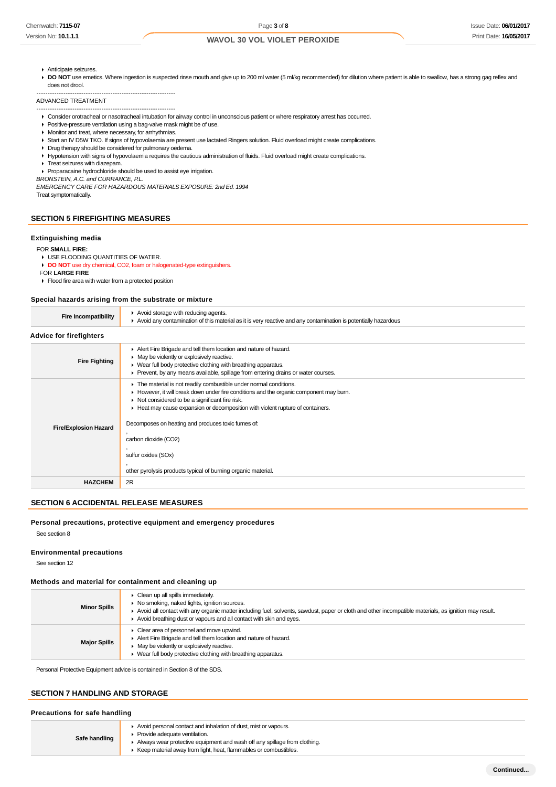- Anticipate seizures.
- DO NOT use emetics. Where ingestion is suspected rinse mouth and give up to 200 ml water (5 ml/kg recommended) for dilution where patient is able to swallow, has a strong gag reflex and does not drool.

ADVANCED TREATMENT

- -------------------------------------------------------------- Consider orotracheal or nasotracheal intubation for airway control in unconscious patient or where respiratory arrest has occurred.
- Positive-pressure ventilation using a bag-valve mask might be of use.
- **Monitor and treat, where necessary, for arrhythmias.**

--------------------------------------------------------------

- Start an IV D5W TKO. If signs of hypovolaemia are present use lactated Ringers solution. Fluid overload might create complications.
- Drug therapy should be considered for pulmonary oedema.
- Hypotension with signs of hypovolaemia requires the cautious administration of fluids. Fluid overload might create complications.
- $\triangleright$  Treat seizures with diazepam.

Proparacaine hydrochloride should be used to assist eye irrigation.

BRONSTEIN, A.C. and CURRANCE, P.L.

EMERGENCY CARE FOR HAZARDOUS MATERIALS EXPOSURE: 2nd Ed. 1994 Treat symptomatically.

#### **SECTION 5 FIREFIGHTING MEASURES**

#### **Extinguishing media**

FOR **SMALL FIRE:**

**USE FLOODING QUANTITIES OF WATER.** 

**DO NOT** use dry chemical, CO2, foam or halogenated-type extinguishers. FOR **LARGE FIRE**

**Flood fire area with water from a protected position** 

#### **Special hazards arising from the substrate or mixture**

| <b>Fire Incompatibility</b>    | Avoid storage with reducing agents.<br>Avoid any contamination of this material as it is very reactive and any contamination is potentially hazardous                                                                                                                                                                                                                                                                                                                                  |  |  |
|--------------------------------|----------------------------------------------------------------------------------------------------------------------------------------------------------------------------------------------------------------------------------------------------------------------------------------------------------------------------------------------------------------------------------------------------------------------------------------------------------------------------------------|--|--|
| <b>Advice for firefighters</b> |                                                                                                                                                                                                                                                                                                                                                                                                                                                                                        |  |  |
| <b>Fire Fighting</b>           | Alert Fire Brigade and tell them location and nature of hazard.<br>• May be violently or explosively reactive.<br>• Wear full body protective clothing with breathing apparatus.<br>► Prevent, by any means available, spillage from entering drains or water courses.                                                                                                                                                                                                                 |  |  |
| <b>Fire/Explosion Hazard</b>   | • The material is not readily combustible under normal conditions.<br>► However, it will break down under fire conditions and the organic component may burn.<br>$\triangleright$ Not considered to be a significant fire risk.<br>Heat may cause expansion or decomposition with violent rupture of containers.<br>Decomposes on heating and produces toxic fumes of:<br>carbon dioxide (CO2)<br>sulfur oxides (SOx)<br>other pyrolysis products typical of burning organic material. |  |  |
| <b>HAZCHEM</b>                 | 2R                                                                                                                                                                                                                                                                                                                                                                                                                                                                                     |  |  |

#### **SECTION 6 ACCIDENTAL RELEASE MEASURES**

#### **Personal precautions, protective equipment and emergency procedures**

See section 8

#### **Environmental precautions**

See section 12

#### **Methods and material for containment and cleaning up**

| <b>Minor Spills</b> | Clean up all spills immediately.<br>No smoking, naked lights, ignition sources.<br>Avoid all contact with any organic matter including fuel, solvents, sawdust, paper or cloth and other incompatible materials, as ignition may result.<br>Avoid breathing dust or vapours and all contact with skin and eyes. |
|---------------------|-----------------------------------------------------------------------------------------------------------------------------------------------------------------------------------------------------------------------------------------------------------------------------------------------------------------|
| <b>Major Spills</b> | Clear area of personnel and move upwind.<br>Alert Fire Brigade and tell them location and nature of hazard.<br>May be violently or explosively reactive.<br>Wear full body protective clothing with breathing apparatus.                                                                                        |

Personal Protective Equipment advice is contained in Section 8 of the SDS.

## **SECTION 7 HANDLING AND STORAGE**

Avoid personal contact and inhalation of dust, mist or vapours.

**Safe handling** Provide adequate ventilation.

- Always wear protective equipment and wash off any spillage from clothing.
- Keep material away from light, heat, flammables or combustibles.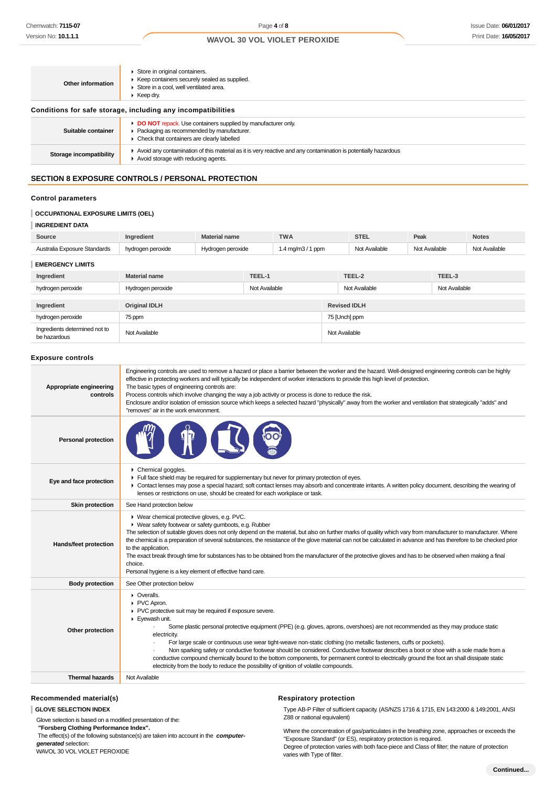| Other information       | Store in original containers.<br>▶ Keep containers securely sealed as supplied.<br>Store in a cool, well ventilated area.<br>$\blacktriangleright$ Keep dry.               |
|-------------------------|----------------------------------------------------------------------------------------------------------------------------------------------------------------------------|
|                         | Conditions for safe storage, including any incompatibilities                                                                                                               |
| Suitable container      | DO NOT repack. Use containers supplied by manufacturer only.<br>▶ Packaging as recommended by manufacturer.<br>$\triangleright$ Check that containers are clearly labelled |
| Storage incompatibility | Avoid any contamination of this material as it is very reactive and any contamination is potentially hazardous<br>Avoid storage with reducing agents.                      |
|                         |                                                                                                                                                                            |

## **SECTION 8 EXPOSURE CONTROLS / PERSONAL PROTECTION**

## **Control parameters**

## **OCCUPATIONAL EXPOSURE LIMITS (OEL)**

#### **INGREDIENT DATA**

| Source                                        | Ingredient           | <b>Material name</b> |               | <b>TWA</b>         |                     | <b>STEL</b>   | Peak          |               | <b>Notes</b>  |
|-----------------------------------------------|----------------------|----------------------|---------------|--------------------|---------------------|---------------|---------------|---------------|---------------|
| Australia Exposure Standards                  | hydrogen peroxide    | Hydrogen peroxide    |               | 1.4 mg/m $3/1$ ppm |                     | Not Available | Not Available |               | Not Available |
| <b>EMERGENCY LIMITS</b>                       |                      |                      |               |                    |                     |               |               |               |               |
| Ingredient                                    | <b>Material name</b> |                      | TEEL-1        |                    |                     | TEEL-2        |               | TEEL-3        |               |
| hydrogen peroxide                             | Hydrogen peroxide    |                      | Not Available |                    |                     | Not Available |               | Not Available |               |
| Ingredient                                    | <b>Original IDLH</b> |                      |               |                    | <b>Revised IDLH</b> |               |               |               |               |
| hydrogen peroxide                             | 75 ppm               |                      |               |                    | 75 [Unch] ppm       |               |               |               |               |
| Ingredients determined not to<br>be hazardous | Not Available        |                      |               |                    | Not Available       |               |               |               |               |

#### **Exposure controls**

| Appropriate engineering<br>controls | Engineering controls are used to remove a hazard or place a barrier between the worker and the hazard. Well-designed engineering controls can be highly<br>effective in protecting workers and will typically be independent of worker interactions to provide this high level of protection.<br>The basic types of engineering controls are:<br>Process controls which involve changing the way a job activity or process is done to reduce the risk.<br>Enclosure and/or isolation of emission source which keeps a selected hazard "physically" away from the worker and ventilation that strategically "adds" and<br>"removes" air in the work environment.                                                                                                     |
|-------------------------------------|---------------------------------------------------------------------------------------------------------------------------------------------------------------------------------------------------------------------------------------------------------------------------------------------------------------------------------------------------------------------------------------------------------------------------------------------------------------------------------------------------------------------------------------------------------------------------------------------------------------------------------------------------------------------------------------------------------------------------------------------------------------------|
| <b>Personal protection</b>          |                                                                                                                                                                                                                                                                                                                                                                                                                                                                                                                                                                                                                                                                                                                                                                     |
| Eye and face protection             | Chemical goggles.<br>Full face shield may be required for supplementary but never for primary protection of eyes.<br>• Contact lenses may pose a special hazard; soft contact lenses may absorb and concentrate irritants. A written policy document, describing the wearing of<br>lenses or restrictions on use, should be created for each workplace or task.                                                                                                                                                                                                                                                                                                                                                                                                     |
| <b>Skin protection</b>              | See Hand protection below                                                                                                                                                                                                                                                                                                                                                                                                                                                                                                                                                                                                                                                                                                                                           |
| Hands/feet protection               | ▶ Wear chemical protective gloves, e.g. PVC.<br>▶ Wear safety footwear or safety gumboots, e.g. Rubber<br>The selection of suitable gloves does not only depend on the material, but also on further marks of quality which vary from manufacturer to manufacturer. Where<br>the chemical is a preparation of several substances, the resistance of the glove material can not be calculated in advance and has therefore to be checked prior<br>to the application.<br>The exact break through time for substances has to be obtained from the manufacturer of the protective gloves and has to be observed when making a final<br>choice.<br>Personal hygiene is a key element of effective hand care.                                                            |
| <b>Body protection</b>              | See Other protection below                                                                                                                                                                                                                                                                                                                                                                                                                                                                                                                                                                                                                                                                                                                                          |
| Other protection                    | • Overalls.<br>PVC Apron.<br>PVC protective suit may be required if exposure severe.<br>Eyewash unit.<br>Some plastic personal protective equipment (PPE) (e.g. gloves, aprons, overshoes) are not recommended as they may produce static<br>electricity.<br>For large scale or continuous use wear tight-weave non-static clothing (no metallic fasteners, cuffs or pockets).<br>Non sparking safety or conductive footwear should be considered. Conductive footwear describes a boot or shoe with a sole made from a<br>conductive compound chemically bound to the bottom components, for permanent control to electrically ground the foot an shall dissipate static<br>electricity from the body to reduce the possibility of ignition of volatile compounds. |
| <b>Thermal hazards</b>              | Not Available                                                                                                                                                                                                                                                                                                                                                                                                                                                                                                                                                                                                                                                                                                                                                       |
|                                     |                                                                                                                                                                                                                                                                                                                                                                                                                                                                                                                                                                                                                                                                                                                                                                     |

### **Recommended material(s)**

**GLOVE SELECTION INDEX**

Glove selection is based on a modified presentation of the:  **"Forsberg Clothing Performance Index".** The effect(s) of the following substance(s) are taken into account in the **computergenerated** selection:

WAVOL 30 VOL VIOLET PEROXIDE

### **Respiratory protection**

Type AB-P Filter of sufficient capacity. (AS/NZS 1716 & 1715, EN 143:2000 & 149:2001, ANSI Z88 or national equivalent)

Where the concentration of gas/particulates in the breathing zone, approaches or exceeds the "Exposure Standard" (or ES), respiratory protection is required. Degree of protection varies with both face-piece and Class of filter; the nature of protection varies with Type of filter.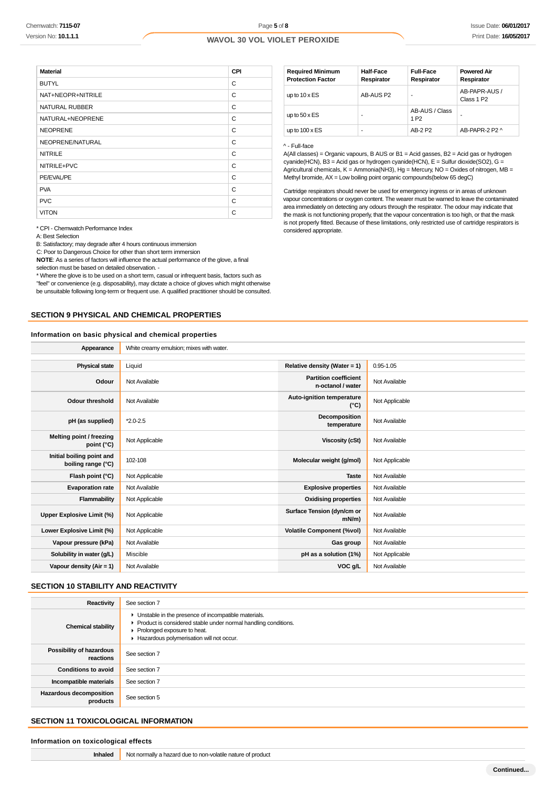| <b>Material</b>   | CPI |
|-------------------|-----|
| <b>BUTYL</b>      | C   |
| NAT+NEOPR+NITRILE | C   |
| NATURAL RUBBER    | C   |
| NATURAL+NEOPRENE  | C   |
| <b>NEOPRENE</b>   | C   |
| NEOPRENE/NATURAL  | C   |
| <b>NITRILE</b>    | C   |
| NITRILE+PVC       | C   |
| PE/EVAL/PE        | C   |
| <b>PVA</b>        | C   |
| <b>PVC</b>        | C   |
| <b>VITON</b>      | C   |

| <b>Required Minimum</b><br><b>Protection Factor</b> | Half-Face<br>Respirator | <b>Full-Face</b><br>Respirator     | <b>Powered Air</b><br>Respirator        |
|-----------------------------------------------------|-------------------------|------------------------------------|-----------------------------------------|
| up to $10 \times ES$                                | AB-AUS P2               | ۰                                  | AB-PAPR-AUS /<br>Class 1 P <sub>2</sub> |
| up to $50 \times ES$                                |                         | AB-AUS / Class<br>1 P <sub>2</sub> |                                         |
| up to $100 \times ES$                               |                         | AB-2 P2                            | AB-PAPR-2 P2 ^                          |

#### ^ - Full-face

A(All classes) = Organic vapours, B AUS or B1 = Acid gasses, B2 = Acid gas or hydrogen cyanide(HCN), B3 = Acid gas or hydrogen cyanide(HCN), E = Sulfur dioxide(SO2), G = Agricultural chemicals, K = Ammonia(NH3), Hg = Mercury, NO = Oxides of nitrogen, MB = Methyl bromide, AX = Low boiling point organic compounds(below 65 degC)

Cartridge respirators should never be used for emergency ingress or in areas of unknown vapour concentrations or oxygen content. The wearer must be warned to leave the contaminated area immediately on detecting any odours through the respirator. The odour may indicate that the mask is not functioning properly, that the vapour concentration is too high, or that the mask is not properly fitted. Because of these limitations, only restricted use of cartridge respirators is considered appropriate.

\* CPI - Chemwatch Performance Index

A: Best Selection

B: Satisfactory; may degrade after 4 hours continuous immersion

C: Poor to Dangerous Choice for other than short term immersion **NOTE**: As a series of factors will influence the actual performance of the glove, a final

selection must be based on detailed observation. -

\* Where the glove is to be used on a short term, casual or infrequent basis, factors such as "feel" or convenience (e.g. disposability), may dictate a choice of gloves which might otherwise

be unsuitable following long-term or frequent use. A qualified practitioner should be consulted.

## **SECTION 9 PHYSICAL AND CHEMICAL PROPERTIES**

#### **Information on basic physical and chemical properties**

| Appearance                                      | White creamy emulsion; mixes with water. |                                                   |                |
|-------------------------------------------------|------------------------------------------|---------------------------------------------------|----------------|
|                                                 |                                          |                                                   |                |
| <b>Physical state</b>                           | Liquid                                   | Relative density (Water = 1)                      | $0.95 - 1.05$  |
| Odour                                           | Not Available                            | <b>Partition coefficient</b><br>n-octanol / water | Not Available  |
| <b>Odour threshold</b>                          | Not Available                            | Auto-ignition temperature<br>$(^{\circ}C)$        | Not Applicable |
| pH (as supplied)                                | $*2.0 - 2.5$                             | Decomposition<br>temperature                      | Not Available  |
| Melting point / freezing<br>point (°C)          | Not Applicable                           | <b>Viscosity (cSt)</b>                            | Not Available  |
| Initial boiling point and<br>boiling range (°C) | 102-108                                  | Molecular weight (g/mol)                          | Not Applicable |
| Flash point (°C)                                | Not Applicable                           | <b>Taste</b>                                      | Not Available  |
| <b>Evaporation rate</b>                         | Not Available                            | <b>Explosive properties</b>                       | Not Available  |
| Flammability                                    | Not Applicable                           | <b>Oxidising properties</b>                       | Not Available  |
| Upper Explosive Limit (%)                       | Not Applicable                           | Surface Tension (dyn/cm or<br>$mN/m$ )            | Not Available  |
| Lower Explosive Limit (%)                       | Not Applicable                           | <b>Volatile Component (%vol)</b>                  | Not Available  |
| Vapour pressure (kPa)                           | Not Available                            | Gas group                                         | Not Available  |
| Solubility in water (g/L)                       | Miscible                                 | pH as a solution (1%)                             | Not Applicable |
| Vapour density (Air = 1)                        | Not Available                            | VOC g/L                                           | Not Available  |

#### **SECTION 10 STABILITY AND REACTIVITY**

| Reactivity                                 | See section 7                                                                                                                                                                                        |
|--------------------------------------------|------------------------------------------------------------------------------------------------------------------------------------------------------------------------------------------------------|
| <b>Chemical stability</b>                  | • Unstable in the presence of incompatible materials.<br>Product is considered stable under normal handling conditions.<br>▶ Prolonged exposure to heat.<br>Hazardous polymerisation will not occur. |
| Possibility of hazardous<br>reactions      | See section 7                                                                                                                                                                                        |
| <b>Conditions to avoid</b>                 | See section 7                                                                                                                                                                                        |
| Incompatible materials                     | See section 7                                                                                                                                                                                        |
| <b>Hazardous decomposition</b><br>products | See section 5                                                                                                                                                                                        |

## **SECTION 11 TOXICOLOGICAL INFORMATION**

#### **Information on toxicological effects**

**Inhaled** Not normally a hazard due to non-volatile nature of product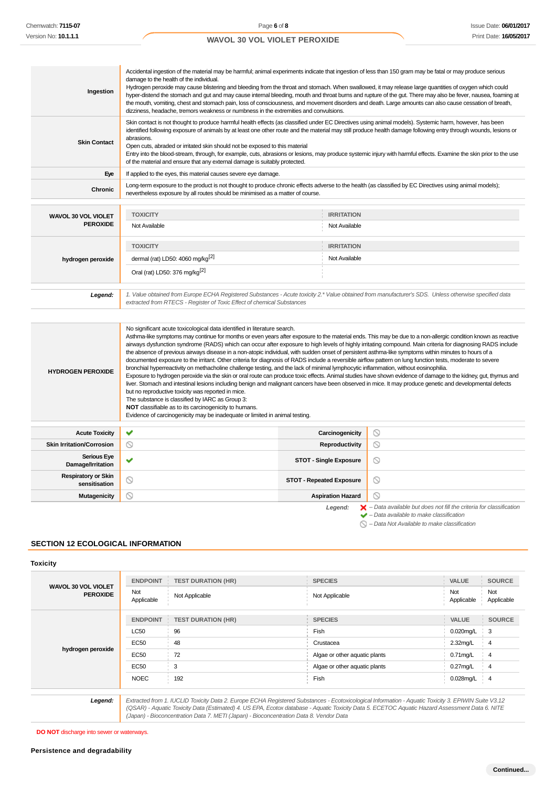| Ingestion                                     | Accidental ingestion of the material may be harmful; animal experiments indicate that ingestion of less than 150 gram may be fatal or may produce serious<br>damage to the health of the individual.<br>Hydrogen peroxide may cause blistering and bleeding from the throat and stomach. When swallowed, it may release large quantities of oxygen which could<br>hyper-distend the stomach and gut and may cause internal bleeding, mouth and throat burns and rupture of the gut. There may also be fever, nausea, foaming at<br>the mouth, vomiting, chest and stomach pain, loss of consciousness, and movement disorders and death. Large amounts can also cause cessation of breath,<br>dizziness, headache, tremors weakness or numbness in the extremities and convulsions. |                   |  |  |  |  |
|-----------------------------------------------|-------------------------------------------------------------------------------------------------------------------------------------------------------------------------------------------------------------------------------------------------------------------------------------------------------------------------------------------------------------------------------------------------------------------------------------------------------------------------------------------------------------------------------------------------------------------------------------------------------------------------------------------------------------------------------------------------------------------------------------------------------------------------------------|-------------------|--|--|--|--|
| <b>Skin Contact</b>                           | Skin contact is not thought to produce harmful health effects (as classified under EC Directives using animal models). Systemic harm, however, has been<br>identified following exposure of animals by at least one other route and the material may still produce health damage following entry through wounds, lesions or<br>abrasions.<br>Open cuts, abraded or irritated skin should not be exposed to this material<br>Entry into the blood-stream, through, for example, cuts, abrasions or lesions, may produce systemic injury with harmful effects. Examine the skin prior to the use<br>of the material and ensure that any external damage is suitably protected.                                                                                                        |                   |  |  |  |  |
| Eye                                           | If applied to the eyes, this material causes severe eye damage.                                                                                                                                                                                                                                                                                                                                                                                                                                                                                                                                                                                                                                                                                                                     |                   |  |  |  |  |
| <b>Chronic</b>                                | Long-term exposure to the product is not thought to produce chronic effects adverse to the health (as classified by EC Directives using animal models);<br>nevertheless exposure by all routes should be minimised as a matter of course.                                                                                                                                                                                                                                                                                                                                                                                                                                                                                                                                           |                   |  |  |  |  |
|                                               | <b>TOXICITY</b>                                                                                                                                                                                                                                                                                                                                                                                                                                                                                                                                                                                                                                                                                                                                                                     | <b>IRRITATION</b> |  |  |  |  |
| <b>WAVOL 30 VOL VIOLET</b><br><b>PEROXIDE</b> | Not Available                                                                                                                                                                                                                                                                                                                                                                                                                                                                                                                                                                                                                                                                                                                                                                       | Not Available     |  |  |  |  |
|                                               |                                                                                                                                                                                                                                                                                                                                                                                                                                                                                                                                                                                                                                                                                                                                                                                     |                   |  |  |  |  |
|                                               | <b>TOXICITY</b>                                                                                                                                                                                                                                                                                                                                                                                                                                                                                                                                                                                                                                                                                                                                                                     | <b>IRRITATION</b> |  |  |  |  |
| hydrogen peroxide                             | dermal (rat) LD50: 4060 mg/kg <sup>[2]</sup>                                                                                                                                                                                                                                                                                                                                                                                                                                                                                                                                                                                                                                                                                                                                        | Not Available     |  |  |  |  |
|                                               | Oral (rat) LD50: 376 mg/kg <sup>[2]</sup>                                                                                                                                                                                                                                                                                                                                                                                                                                                                                                                                                                                                                                                                                                                                           |                   |  |  |  |  |
| Legend:                                       | 1. Value obtained from Europe ECHA Registered Substances - Acute toxicity 2.* Value obtained from manufacturer's SDS. Unless otherwise specified data<br>extracted from RTECS - Register of Toxic Effect of chemical Substances                                                                                                                                                                                                                                                                                                                                                                                                                                                                                                                                                     |                   |  |  |  |  |
|                                               |                                                                                                                                                                                                                                                                                                                                                                                                                                                                                                                                                                                                                                                                                                                                                                                     |                   |  |  |  |  |
|                                               | No significant acute toxicological data identified in literature search.<br>Asthma-like symptoms may continue for months or even years after exposure to the material ends. This may be due to a non-allergic condition known as reactive<br>airways dysfunction syndrome (RADS) which can occur after exposure to high levels of highly irritating compound. Main criteria for diagnosing RADS include<br>the absence of previous airways disease in a non-atopic individual, with sudden onset of persistent asthma-like symptoms within minutes to hours of a                                                                                                                                                                                                                    |                   |  |  |  |  |

**HYDROGEN PEROXIDE** documented exposure to the irritant. Other criteria for diagnosis of RADS include a reversible airflow pattern on lung function tests, moderate to severe bronchial hyperreactivity on methacholine challenge testing, and the lack of minimal lymphocytic inflammation, without eosinophilia. Exposure to hydrogen peroxide via the skin or oral route can produce toxic effects. Animal studies have shown evidence of damage to the kidney, gut, thymus and

liver. Stomach and intestinal lesions including benign and malignant cancers have been observed in mice. It may produce genetic and developmental defects but no reproductive toxicity was reported in mice. The substance is classified by IARC as Group 3:

**NOT** classifiable as to its carcinogenicity to humans.

Evidence of carcinogenicity may be inadequate or limited in animal testing.

| <b>Acute Toxicity</b>                       | $\checkmark$          | Carcinogenicity                 | $\circlearrowright$                                                                                                                                       |
|---------------------------------------------|-----------------------|---------------------------------|-----------------------------------------------------------------------------------------------------------------------------------------------------------|
| <b>Skin Irritation/Corrosion</b>            | $\circ$               | Reproductivity                  | $\odot$                                                                                                                                                   |
| <b>Serious Eye</b><br>Damage/Irritation     | $\checkmark$          | <b>STOT - Single Exposure</b>   | $\circ$                                                                                                                                                   |
| <b>Respiratory or Skin</b><br>sensitisation | $\circ$               | <b>STOT - Repeated Exposure</b> | $\circledcirc$                                                                                                                                            |
| <b>Mutagenicity</b>                         | $\scriptstyle\oslash$ | <b>Aspiration Hazard</b>        | $\circ$                                                                                                                                                   |
|                                             |                       | Legend:                         | $\blacktriangleright$ - Data available but does not fill the criteria for classification<br>$\blacktriangleright$ - Data available to make classification |

 $\bigcirc$  – Data Not Available to make classification

#### **SECTION 12 ECOLOGICAL INFORMATION**

#### **Toxicity**

| WAVOL 30 VOL VIOLET<br><b>PEROXIDE</b> | <b>ENDPOINT</b>   | <b>TEST DURATION (HR)</b> | <b>SPECIES</b>                | VALUE             | <b>SOURCE</b>     |
|----------------------------------------|-------------------|---------------------------|-------------------------------|-------------------|-------------------|
|                                        | Not<br>Applicable | Not Applicable            | Not Applicable                | Not<br>Applicable | Not<br>Applicable |
|                                        | <b>ENDPOINT</b>   | <b>TEST DURATION (HR)</b> | <b>SPECIES</b>                | <b>VALUE</b>      | <b>SOURCE</b>     |
|                                        | <b>LC50</b>       | 96                        | Fish                          | 0.020mg/L         | - 3               |
|                                        | <b>EC50</b>       | 48                        | Crustacea                     | 2.32mg/L          | 4                 |
| hydrogen peroxide                      | EC50              | 72                        | Algae or other aquatic plants | $0.71$ mg/L       | -4                |
|                                        | EC50              | 3                         | Algae or other aquatic plants | $0.27$ mg/L       | -4                |
|                                        | <b>NOEC</b>       | 192                       | Fish                          | 0.028mg/L         | $\frac{1}{2}$ 4   |

(Japan) - Bioconcentration Data 7. METI (Japan) - Bioconcentration Data 8. Vendor Data

(QSAR) - Aquatic Toxicity Data (Estimated) 4. US EPA, Ecotox database - Aquatic Toxicity Data 5. ECETOC Aquatic Hazard Assessment Data 6. NITE

**DO NOT** discharge into sewer or waterways.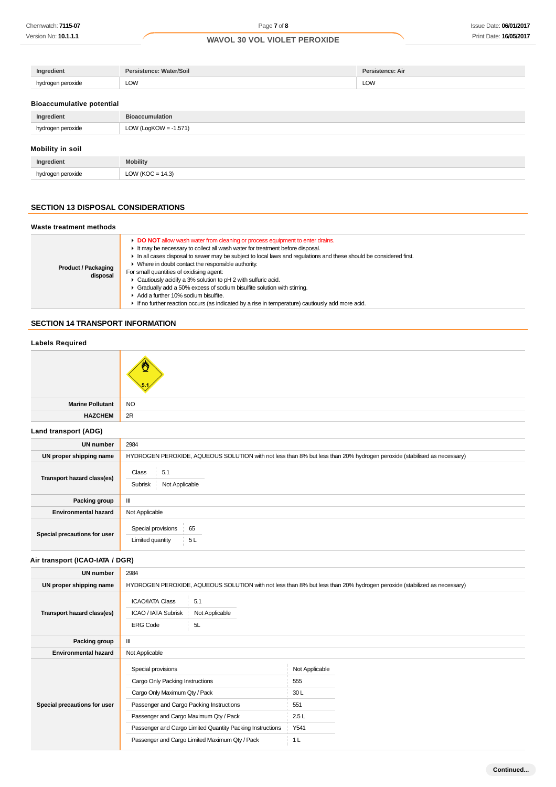| Ingredient   | Persistence: Water/Soil | Persistence: Air |
|--------------|-------------------------|------------------|
| gen peroxide | LOW                     | LOW              |

#### **Bioaccumulative potential**

| Ingredient              | <b>Bioaccumulation</b>   |
|-------------------------|--------------------------|
| hydrogen peroxide       | LOW (LogKOW = $-1.571$ ) |
| <b>Mobility in soil</b> |                          |

| dian                 | $-1$        |
|----------------------|-------------|
| Inc                  | . dobility. |
| $\sim$ $\sim$ $\sim$ | ົ<br>$\sim$ |

### **SECTION 13 DISPOSAL CONSIDERATIONS**

#### **Waste treatment methods Product / Packaging disposal DO NOT** allow wash water from cleaning or process equipment to enter drains. It may be necessary to collect all wash water for treatment before disposal. In all cases disposal to sewer may be subject to local laws and regulations and these should be considered first.  $\blacktriangleright$  Where in doubt contact the responsible authority. For small quantities of oxidising agent: Cautiously acidify a 3% solution to pH 2 with sulfuric acid. Gradually add a 50% excess of sodium bisulfite solution with stirring. Add a further 10% sodium bisulfite. If no further reaction occurs (as indicated by a rise in temperature) cautiously add more acid.

## **SECTION 14 TRANSPORT INFORMATION**

## **Labels Required**



| <b>Marine Pollutant</b> | I NO       |
|-------------------------|------------|
| <b>HAZCHEM</b>          | $\vert$ 2R |
| Land transport (ADG)    |            |

| UN number                    | 2984                                                                                                                    |
|------------------------------|-------------------------------------------------------------------------------------------------------------------------|
| UN proper shipping name      | HYDROGEN PEROXIDE, AQUEOUS SOLUTION with not less than 8% but less than 20% hydrogen peroxide (stabilised as necessary) |
| Transport hazard class(es)   | 5.1<br>Class<br>Subrisk<br>Not Applicable                                                                               |
| Packing group                | Ш                                                                                                                       |
| <b>Environmental hazard</b>  | Not Applicable                                                                                                          |
| Special precautions for user | Special provisions<br>65<br>5L<br>Limited quantity                                                                      |

## **Air transport (ICAO-IATA / DGR)**

| <b>UN number</b>             | 2984                                                                                                                                                                                                                                      |                                                                                                                         |
|------------------------------|-------------------------------------------------------------------------------------------------------------------------------------------------------------------------------------------------------------------------------------------|-------------------------------------------------------------------------------------------------------------------------|
| UN proper shipping name      |                                                                                                                                                                                                                                           | HYDROGEN PEROXIDE, AQUEOUS SOLUTION with not less than 8% but less than 20% hydrogen peroxide (stabilized as necessary) |
| Transport hazard class(es)   | <b>ICAO/IATA Class</b><br>5.1<br>ICAO / IATA Subrisk<br>Not Applicable<br>5L<br><b>ERG Code</b>                                                                                                                                           |                                                                                                                         |
| Packing group                | Ш                                                                                                                                                                                                                                         |                                                                                                                         |
| <b>Environmental hazard</b>  | Not Applicable                                                                                                                                                                                                                            |                                                                                                                         |
| Special precautions for user | Special provisions<br>Cargo Only Packing Instructions<br>Cargo Only Maximum Qty / Pack<br>Passenger and Cargo Packing Instructions<br>Passenger and Cargo Maximum Qty / Pack<br>Passenger and Cargo Limited Quantity Packing Instructions | Not Applicable<br>555<br>30L<br>551<br>2.5L<br>Y541                                                                     |
|                              | Passenger and Cargo Limited Maximum Qty / Pack                                                                                                                                                                                            | 1 <sub>L</sub>                                                                                                          |